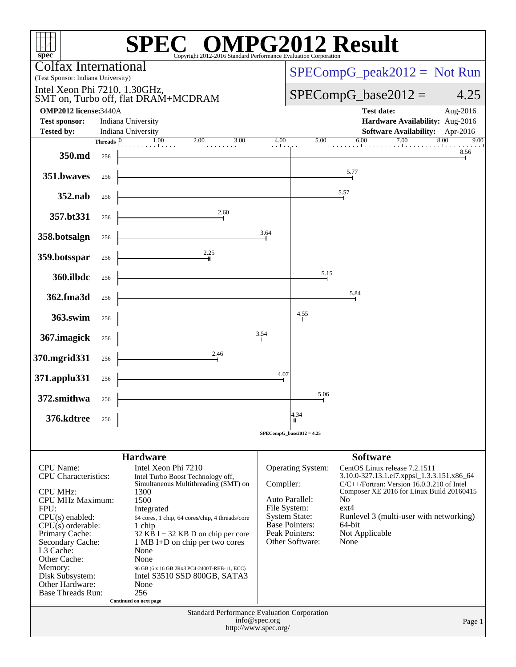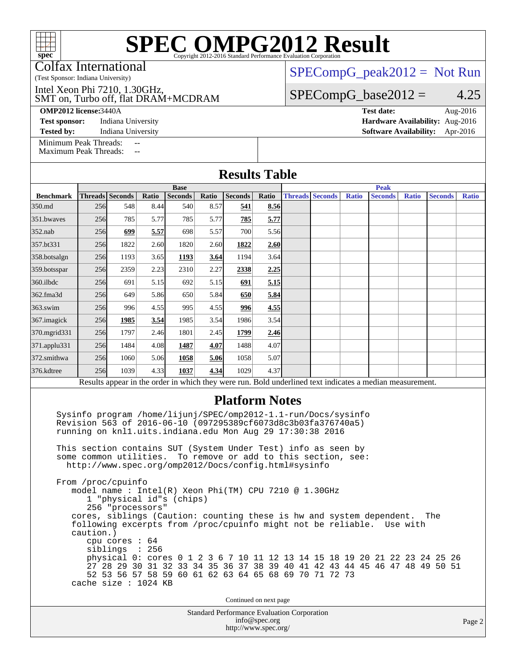Colfax International

(Test Sponsor: Indiana University)

SMT on, Turbo off, flat DRAM+MCDRAM Intel Xeon Phi 7210, 1.30GHz,

**[OMP2012 license:](http://www.spec.org/auto/omp2012/Docs/result-fields.html#OMP2012license)**3440A **[Test date:](http://www.spec.org/auto/omp2012/Docs/result-fields.html#Testdate)** Aug-2016

**[Test sponsor:](http://www.spec.org/auto/omp2012/Docs/result-fields.html#Testsponsor)** Indiana University **[Hardware Availability:](http://www.spec.org/auto/omp2012/Docs/result-fields.html#HardwareAvailability)** Aug-2016

 $SPECompG_peak2012 = Not Run$  $SPECompG_peak2012 = Not Run$ 

 $SPECompG_base2012 = 4.25$  $SPECompG_base2012 = 4.25$ 

[Minimum Peak Threads:](http://www.spec.org/auto/omp2012/Docs/result-fields.html#MinimumPeakThreads)

[Maximum Peak Threads:](http://www.spec.org/auto/omp2012/Docs/result-fields.html#MaximumPeakThreads)

**[Tested by:](http://www.spec.org/auto/omp2012/Docs/result-fields.html#Testedby)** Indiana University **[Software Availability:](http://www.spec.org/auto/omp2012/Docs/result-fields.html#SoftwareAvailability)** Apr-2016

| <b>Results Table</b><br><b>Base</b>                                                                      |     |                 |       |                |       |                |       | <b>Peak</b> |                        |              |                |              |                |              |
|----------------------------------------------------------------------------------------------------------|-----|-----------------|-------|----------------|-------|----------------|-------|-------------|------------------------|--------------|----------------|--------------|----------------|--------------|
| <b>Benchmark</b>                                                                                         |     | Threads Seconds | Ratio | <b>Seconds</b> | Ratio | <b>Seconds</b> | Ratio |             | <b>Threads Seconds</b> | <b>Ratio</b> | <b>Seconds</b> | <b>Ratio</b> | <b>Seconds</b> | <b>Ratio</b> |
| 350.md                                                                                                   | 256 | 548             | 8.44  | 540            | 8.57  | 541            | 8.56  |             |                        |              |                |              |                |              |
| $351$ . bwayes                                                                                           | 256 | 785             | 5.77  | 785            | 5.77  | 785            | 5.77  |             |                        |              |                |              |                |              |
| $352$ .nab                                                                                               | 256 | 699             | 5.57  | 698            | 5.57  | 700            | 5.56  |             |                        |              |                |              |                |              |
| 357.bt331                                                                                                | 256 | 1822            | 2.60  | 1820           | 2.60  | 1822           | 2.60  |             |                        |              |                |              |                |              |
| 358.botsalgn                                                                                             | 256 | 1193            | 3.65  | 1193           | 3.64  | 1194           | 3.64  |             |                        |              |                |              |                |              |
| 359.botsspar                                                                                             | 256 | 2359            | 2.23  | 2310           | 2.27  | 2338           | 2.25  |             |                        |              |                |              |                |              |
| 360.ilbdc                                                                                                | 256 | 691             | 5.15  | 692            | 5.15  | 691            | 5.15  |             |                        |              |                |              |                |              |
| 362.fma3d                                                                                                | 256 | 649             | 5.86  | 650            | 5.84  | 650            | 5.84  |             |                        |              |                |              |                |              |
| $363$ .swim                                                                                              | 256 | 996             | 4.55  | 995            | 4.55  | 996            | 4.55  |             |                        |              |                |              |                |              |
| 367.imagick                                                                                              | 256 | 1985            | 3.54  | 1985           | 3.54  | 1986           | 3.54  |             |                        |              |                |              |                |              |
| 370.mgrid331                                                                                             | 256 | 1797            | 2.46  | 1801           | 2.45  | 1799           | 2.46  |             |                        |              |                |              |                |              |
| 371.applu331                                                                                             | 256 | 1484            | 4.08  | 1487           | 4.07  | 1488           | 4.07  |             |                        |              |                |              |                |              |
| 372.smithwa                                                                                              | 256 | 1060            | 5.06  | 1058           | 5.06  | 1058           | 5.07  |             |                        |              |                |              |                |              |
| 376.kdtree                                                                                               | 256 | 1039            | 4.33  | 1037           | 4.34  | 1029           | 4.37  |             |                        |              |                |              |                |              |
| Results appear in the order in which they were run. Bold underlined text indicates a median measurement. |     |                 |       |                |       |                |       |             |                        |              |                |              |                |              |

#### **[Platform Notes](http://www.spec.org/auto/omp2012/Docs/result-fields.html#PlatformNotes)**

 Sysinfo program /home/lijunj/SPEC/omp2012-1.1-run/Docs/sysinfo Revision 563 of 2016-06-10 (097295389cf6073d8c3b03fa376740a5) running on knl1.uits.indiana.edu Mon Aug 29 17:30:38 2016

 This section contains SUT (System Under Test) info as seen by some common utilities. To remove or add to this section, see: <http://www.spec.org/omp2012/Docs/config.html#sysinfo>

 From /proc/cpuinfo model name : Intel(R) Xeon Phi(TM) CPU 7210 @ 1.30GHz 1 "physical id"s (chips) 256 "processors" cores, siblings (Caution: counting these is hw and system dependent. The following excerpts from /proc/cpuinfo might not be reliable. Use with caution.) cpu cores : 64 siblings : 256 physical 0: cores 0 1 2 3 6 7 10 11 12 13 14 15 18 19 20 21 22 23 24 25 26 27 28 29 30 31 32 33 34 35 36 37 38 39 40 41 42 43 44 45 46 47 48 49 50 51 52 53 56 57 58 59 60 61 62 63 64 65 68 69 70 71 72 73 cache size : 1024 KB

Continued on next page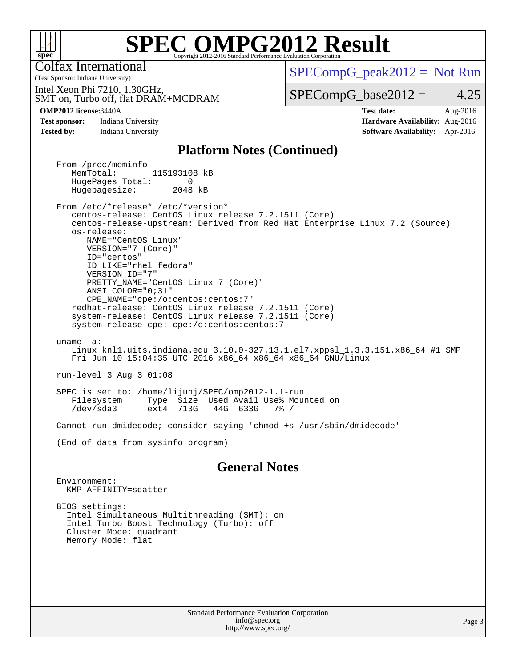

Colfax International

 $SPECompG_peak2012 = Not Run$  $SPECompG_peak2012 = Not Run$ 

SMT on, Turbo off, flat DRAM+MCDRAM Intel Xeon Phi 7210, 1.30GHz,

 $SPECompG_base2012 = 4.25$  $SPECompG_base2012 = 4.25$ 

(Test Sponsor: Indiana University)

**[Test sponsor:](http://www.spec.org/auto/omp2012/Docs/result-fields.html#Testsponsor)** Indiana University **[Hardware Availability:](http://www.spec.org/auto/omp2012/Docs/result-fields.html#HardwareAvailability)** Aug-2016 **[Tested by:](http://www.spec.org/auto/omp2012/Docs/result-fields.html#Testedby)** Indiana University **[Software Availability:](http://www.spec.org/auto/omp2012/Docs/result-fields.html#SoftwareAvailability)** Apr-2016

**[OMP2012 license:](http://www.spec.org/auto/omp2012/Docs/result-fields.html#OMP2012license)**3440A **[Test date:](http://www.spec.org/auto/omp2012/Docs/result-fields.html#Testdate)** Aug-2016

#### **[Platform Notes \(Continued\)](http://www.spec.org/auto/omp2012/Docs/result-fields.html#PlatformNotes)**

From /proc/meminfo<br>MemTotal: 115193108 kB HugePages\_Total: 0<br>Hugepagesize: 2048 kB Hugepagesize:

 From /etc/\*release\* /etc/\*version\* centos-release: CentOS Linux release 7.2.1511 (Core) centos-release-upstream: Derived from Red Hat Enterprise Linux 7.2 (Source) os-release: NAME="CentOS Linux" VERSION="7 (Core)" ID="centos" ID\_LIKE="rhel fedora" VERSION\_ID="7" PRETTY\_NAME="CentOS Linux 7 (Core)" ANSI\_COLOR="0;31" CPE\_NAME="cpe:/o:centos:centos:7"

 redhat-release: CentOS Linux release 7.2.1511 (Core) system-release: CentOS Linux release 7.2.1511 (Core) system-release-cpe: cpe:/o:centos:centos:7

#### uname -a: Linux knl1.uits.indiana.edu 3.10.0-327.13.1.el7.xppsl\_1.3.3.151.x86\_64 #1 SMP Fri Jun 10 15:04:35 UTC 2016 x86\_64 x86\_64 x86\_64 GNU/Linux

run-level 3 Aug 3 01:08

 SPEC is set to: /home/lijunj/SPEC/omp2012-1.1-run Type Size Used Avail Use% Mounted on<br>ext4 713G 44G 633G 7% / /dev/sda3 ext4 713G 44G 633G 7% /

Cannot run dmidecode; consider saying 'chmod +s /usr/sbin/dmidecode'

(End of data from sysinfo program)

#### **[General Notes](http://www.spec.org/auto/omp2012/Docs/result-fields.html#GeneralNotes)**

 Environment: KMP\_AFFINITY=scatter

 BIOS settings: Intel Simultaneous Multithreading (SMT): on Intel Turbo Boost Technology (Turbo): off Cluster Mode: quadrant Memory Mode: flat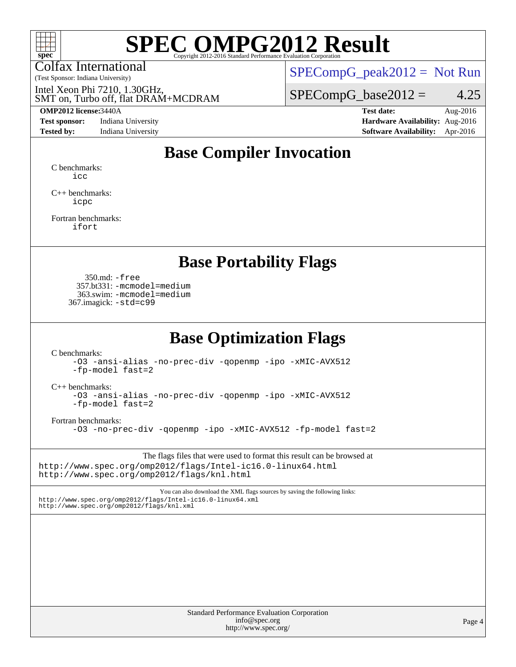

Colfax International

 $SPECompG_peak2012 = Not Run$  $SPECompG_peak2012 = Not Run$ 

SMT on, Turbo off, flat DRAM+MCDRAM Intel Xeon Phi 7210, 1.30GHz,

(Test Sponsor: Indiana University)

**[Test sponsor:](http://www.spec.org/auto/omp2012/Docs/result-fields.html#Testsponsor)** Indiana University **[Hardware Availability:](http://www.spec.org/auto/omp2012/Docs/result-fields.html#HardwareAvailability)** Aug-2016

 $SPECompG_base2012 = 4.25$  $SPECompG_base2012 = 4.25$ 

**[OMP2012 license:](http://www.spec.org/auto/omp2012/Docs/result-fields.html#OMP2012license)**3440A **[Test date:](http://www.spec.org/auto/omp2012/Docs/result-fields.html#Testdate)** Aug-2016 **[Tested by:](http://www.spec.org/auto/omp2012/Docs/result-fields.html#Testedby)** Indiana University **[Software Availability:](http://www.spec.org/auto/omp2012/Docs/result-fields.html#SoftwareAvailability)** Apr-2016

## **[Base Compiler Invocation](http://www.spec.org/auto/omp2012/Docs/result-fields.html#BaseCompilerInvocation)**

[C benchmarks](http://www.spec.org/auto/omp2012/Docs/result-fields.html#Cbenchmarks): [icc](http://www.spec.org/omp2012/results/res2016q4/omp2012-20161006-00080.flags.html#user_CCbase_intel_icc_a87c68a857bc5ec5362391a49d3a37a6)

[C++ benchmarks:](http://www.spec.org/auto/omp2012/Docs/result-fields.html#CXXbenchmarks) [icpc](http://www.spec.org/omp2012/results/res2016q4/omp2012-20161006-00080.flags.html#user_CXXbase_intel_icpc_2d899f8d163502b12eb4a60069f80c1c)

[Fortran benchmarks](http://www.spec.org/auto/omp2012/Docs/result-fields.html#Fortranbenchmarks): [ifort](http://www.spec.org/omp2012/results/res2016q4/omp2012-20161006-00080.flags.html#user_FCbase_intel_ifort_8a5e5e06b19a251bdeaf8fdab5d62f20)

#### **[Base Portability Flags](http://www.spec.org/auto/omp2012/Docs/result-fields.html#BasePortabilityFlags)**

 350.md: [-free](http://www.spec.org/omp2012/results/res2016q4/omp2012-20161006-00080.flags.html#user_baseFPORTABILITY350_md_f-FR_e51be0673775d2012b3310fa5323f530) 357.bt331: [-mcmodel=medium](http://www.spec.org/omp2012/results/res2016q4/omp2012-20161006-00080.flags.html#user_baseFPORTABILITY357_bt331_f-mcmodel_3a41622424bdd074c4f0f2d2f224c7e5) 363.swim: [-mcmodel=medium](http://www.spec.org/omp2012/results/res2016q4/omp2012-20161006-00080.flags.html#user_baseFPORTABILITY363_swim_f-mcmodel_3a41622424bdd074c4f0f2d2f224c7e5) 367.imagick: [-std=c99](http://www.spec.org/omp2012/results/res2016q4/omp2012-20161006-00080.flags.html#user_baseCPORTABILITY367_imagick_f-std_2ec6533b6e06f1c4a6c9b78d9e9cde24)

### **[Base Optimization Flags](http://www.spec.org/auto/omp2012/Docs/result-fields.html#BaseOptimizationFlags)**

[C benchmarks](http://www.spec.org/auto/omp2012/Docs/result-fields.html#Cbenchmarks):

[-O3](http://www.spec.org/omp2012/results/res2016q4/omp2012-20161006-00080.flags.html#user_CCbase_f-O3) [-ansi-alias](http://www.spec.org/omp2012/results/res2016q4/omp2012-20161006-00080.flags.html#user_CCbase_f-ansi-alias) [-no-prec-div](http://www.spec.org/omp2012/results/res2016q4/omp2012-20161006-00080.flags.html#user_CCbase_f-no-prec-div) [-qopenmp](http://www.spec.org/omp2012/results/res2016q4/omp2012-20161006-00080.flags.html#user_CCbase_f-qopenmp) [-ipo](http://www.spec.org/omp2012/results/res2016q4/omp2012-20161006-00080.flags.html#user_CCbase_f-ipo) [-xMIC-AVX512](http://www.spec.org/omp2012/results/res2016q4/omp2012-20161006-00080.flags.html#user_CCbase_f-xMIC-AVX512) [-fp-model fast=2](http://www.spec.org/omp2012/results/res2016q4/omp2012-20161006-00080.flags.html#user_CCbase_f-fp-model_a7fb8ccb7275e23f0079632c153cfcab)

[C++ benchmarks:](http://www.spec.org/auto/omp2012/Docs/result-fields.html#CXXbenchmarks)

[-O3](http://www.spec.org/omp2012/results/res2016q4/omp2012-20161006-00080.flags.html#user_CXXbase_f-O3) [-ansi-alias](http://www.spec.org/omp2012/results/res2016q4/omp2012-20161006-00080.flags.html#user_CXXbase_f-ansi-alias) [-no-prec-div](http://www.spec.org/omp2012/results/res2016q4/omp2012-20161006-00080.flags.html#user_CXXbase_f-no-prec-div) [-qopenmp](http://www.spec.org/omp2012/results/res2016q4/omp2012-20161006-00080.flags.html#user_CXXbase_f-qopenmp) [-ipo](http://www.spec.org/omp2012/results/res2016q4/omp2012-20161006-00080.flags.html#user_CXXbase_f-ipo) [-xMIC-AVX512](http://www.spec.org/omp2012/results/res2016q4/omp2012-20161006-00080.flags.html#user_CXXbase_f-xMIC-AVX512) [-fp-model fast=2](http://www.spec.org/omp2012/results/res2016q4/omp2012-20161006-00080.flags.html#user_CXXbase_f-fp-model_a7fb8ccb7275e23f0079632c153cfcab)

[Fortran benchmarks](http://www.spec.org/auto/omp2012/Docs/result-fields.html#Fortranbenchmarks):

[-O3](http://www.spec.org/omp2012/results/res2016q4/omp2012-20161006-00080.flags.html#user_FCbase_f-O3) [-no-prec-div](http://www.spec.org/omp2012/results/res2016q4/omp2012-20161006-00080.flags.html#user_FCbase_f-no-prec-div) [-qopenmp](http://www.spec.org/omp2012/results/res2016q4/omp2012-20161006-00080.flags.html#user_FCbase_f-qopenmp) [-ipo](http://www.spec.org/omp2012/results/res2016q4/omp2012-20161006-00080.flags.html#user_FCbase_f-ipo) [-xMIC-AVX512](http://www.spec.org/omp2012/results/res2016q4/omp2012-20161006-00080.flags.html#user_FCbase_f-xMIC-AVX512) [-fp-model fast=2](http://www.spec.org/omp2012/results/res2016q4/omp2012-20161006-00080.flags.html#user_FCbase_f-fp-model_a7fb8ccb7275e23f0079632c153cfcab)

The flags files that were used to format this result can be browsed at <http://www.spec.org/omp2012/flags/Intel-ic16.0-linux64.html> <http://www.spec.org/omp2012/flags/knl.html>

You can also download the XML flags sources by saving the following links: <http://www.spec.org/omp2012/flags/Intel-ic16.0-linux64.xml> <http://www.spec.org/omp2012/flags/knl.xml>